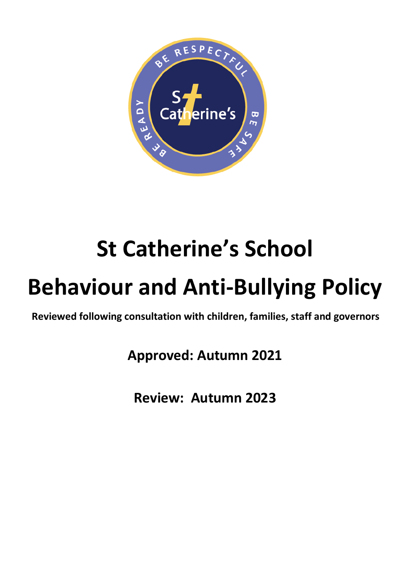

# **St Catherine's School**

# **Behaviour and Anti-Bullying Policy**

**Reviewed following consultation with children, families, staff and governors** 

**Approved: Autumn 2021**

**Review: Autumn 2023**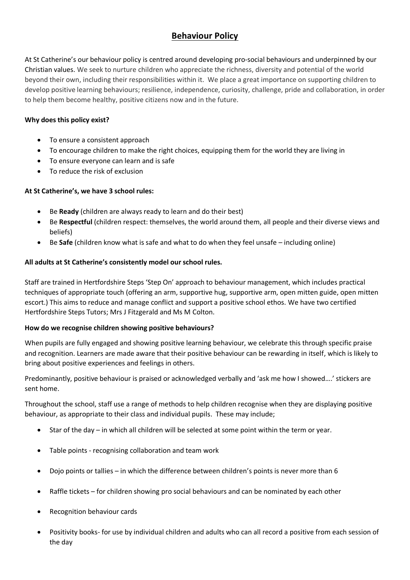# **Behaviour Policy**

At St Catherine's our behaviour policy is centred around developing pro-social behaviours and underpinned by our Christian values. We seek to nurture children who appreciate the richness, diversity and potential of the world beyond their own, including their responsibilities within it. We place a great importance on supporting children to develop positive learning behaviours; resilience, independence, curiosity, challenge, pride and collaboration, in order to help them become healthy, positive citizens now and in the future.

#### **Why does this policy exist?**

- To ensure a consistent approach
- To encourage children to make the right choices, equipping them for the world they are living in
- To ensure everyone can learn and is safe
- To reduce the risk of exclusion

#### **At St Catherine's, we have 3 school rules:**

- Be **Ready** (children are always ready to learn and do their best)
- Be **Respectful** (children respect: themselves, the world around them, all people and their diverse views and beliefs)
- Be **Safe** (children know what is safe and what to do when they feel unsafe including online)

#### **All adults at St Catherine's consistently model our school rules.**

Staff are trained in Hertfordshire Steps 'Step On' approach to behaviour management, which includes practical techniques of appropriate touch (offering an arm, supportive hug, supportive arm, open mitten guide, open mitten escort.) This aims to reduce and manage conflict and support a positive school ethos. We have two certified Hertfordshire Steps Tutors; Mrs J Fitzgerald and Ms M Colton.

#### **How do we recognise children showing positive behaviours?**

When pupils are fully engaged and showing positive learning behaviour, we celebrate this through specific praise and recognition. Learners are made aware that their positive behaviour can be rewarding in itself, which is likely to bring about positive experiences and feelings in others.

Predominantly, positive behaviour is praised or acknowledged verbally and 'ask me how I showed….' stickers are sent home.

Throughout the school, staff use a range of methods to help children recognise when they are displaying positive behaviour, as appropriate to their class and individual pupils. These may include;

- Star of the day in which all children will be selected at some point within the term or year.
- Table points recognising collaboration and team work
- Dojo points or tallies in which the difference between children's points is never more than 6
- Raffle tickets for children showing pro social behaviours and can be nominated by each other
- Recognition behaviour cards
- Positivity books- for use by individual children and adults who can all record a positive from each session of the day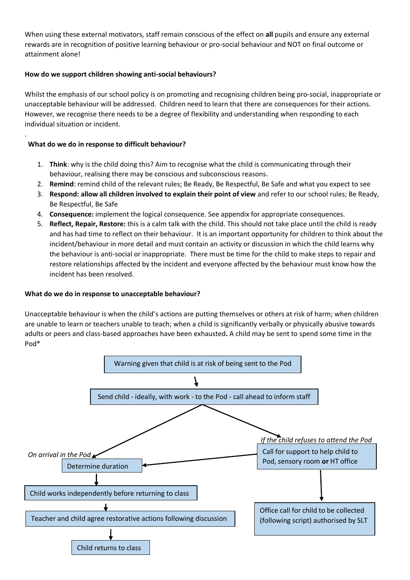When using these external motivators, staff remain conscious of the effect on **all** pupils and ensure any external rewards are in recognition of positive learning behaviour or pro-social behaviour and NOT on final outcome or attainment alone!

#### **How do we support children showing anti-social behaviours?**

Whilst the emphasis of our school policy is on promoting and recognising children being pro-social, inappropriate or unacceptable behaviour will be addressed. Children need to learn that there are consequences for their actions. However, we recognise there needs to be a degree of flexibility and understanding when responding to each individual situation or incident.

#### **What do we do in response to difficult behaviour?**

.

- 1. **Think**: why is the child doing this? Aim to recognise what the child is communicating through their behaviour, realising there may be conscious and subconscious reasons.
- 2. **Remind**: remind child of the relevant rules; Be Ready, Be Respectful, Be Safe and what you expect to see
- 3. **Respond: allow all children involved to explain their point of view** and refer to our school rules; Be Ready, Be Respectful, Be Safe
- 4. **Consequence:** implement the logical consequence. See appendix for appropriate consequences.
- 5. **Reflect, Repair, Restore:** this is a calm talk with the child. This should not take place until the child is ready and has had time to reflect on their behaviour. It is an important opportunity for children to think about the incident/behaviour in more detail and must contain an activity or discussion in which the child learns why the behaviour is anti-social or inappropriate. There must be time for the child to make steps to repair and restore relationships affected by the incident and everyone affected by the behaviour must know how the incident has been resolved.

#### **What do we do in response to unacceptable behaviour?**

Unacceptable behaviour is when the child's actions are putting themselves or others at risk of harm; when children are unable to learn or teachers unable to teach; when a child is significantly verbally or physically abusive towards adults or peers and class-based approaches have been exhausted**.** A child may be sent to spend some time in the Pod\*

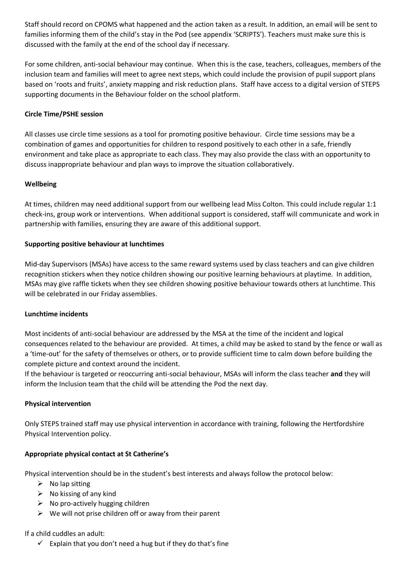Staff should record on CPOMS what happened and the action taken as a result. In addition, an email will be sent to families informing them of the child's stay in the Pod (see appendix 'SCRIPTS'). Teachers must make sure this is discussed with the family at the end of the school day if necessary.

For some children, anti-social behaviour may continue. When this is the case, teachers, colleagues, members of the inclusion team and families will meet to agree next steps, which could include the provision of pupil support plans based on 'roots and fruits', anxiety mapping and risk reduction plans. Staff have access to a digital version of STEPS supporting documents in the Behaviour folder on the school platform.

#### **Circle Time/PSHE session**

All classes use circle time sessions as a tool for promoting positive behaviour. Circle time sessions may be a combination of games and opportunities for children to respond positively to each other in a safe, friendly environment and take place as appropriate to each class. They may also provide the class with an opportunity to discuss inappropriate behaviour and plan ways to improve the situation collaboratively.

#### **Wellbeing**

At times, children may need additional support from our wellbeing lead Miss Colton. This could include regular 1:1 check-ins, group work or interventions. When additional support is considered, staff will communicate and work in partnership with families, ensuring they are aware of this additional support.

#### **Supporting positive behaviour at lunchtimes**

Mid-day Supervisors (MSAs) have access to the same reward systems used by class teachers and can give children recognition stickers when they notice children showing our positive learning behaviours at playtime. In addition, MSAs may give raffle tickets when they see children showing positive behaviour towards others at lunchtime. This will be celebrated in our Friday assemblies.

#### **Lunchtime incidents**

Most incidents of anti-social behaviour are addressed by the MSA at the time of the incident and logical consequences related to the behaviour are provided. At times, a child may be asked to stand by the fence or wall as a 'time-out' for the safety of themselves or others, or to provide sufficient time to calm down before building the complete picture and context around the incident.

If the behaviour is targeted or reoccurring anti-social behaviour, MSAs will inform the class teacher **and** they will inform the Inclusion team that the child will be attending the Pod the next day.

#### **Physical intervention**

Only STEPS trained staff may use physical intervention in accordance with training, following the Hertfordshire Physical Intervention policy.

#### **Appropriate physical contact at St Catherine's**

Physical intervention should be in the student's best interests and always follow the protocol below:

- $\triangleright$  No lap sitting
- $\triangleright$  No kissing of any kind
- $\triangleright$  No pro-actively hugging children
- $\triangleright$  We will not prise children off or away from their parent

#### If a child cuddles an adult:

 $\checkmark$  Explain that you don't need a hug but if they do that's fine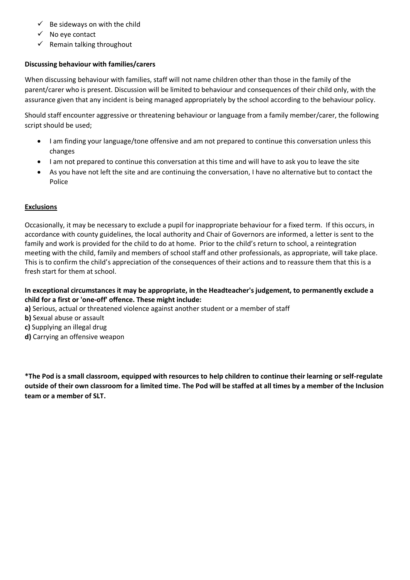- $\checkmark$  Be sideways on with the child
- ✓ No eye contact
- $\checkmark$  Remain talking throughout

#### **Discussing behaviour with families/carers**

When discussing behaviour with families, staff will not name children other than those in the family of the parent/carer who is present. Discussion will be limited to behaviour and consequences of their child only, with the assurance given that any incident is being managed appropriately by the school according to the behaviour policy.

Should staff encounter aggressive or threatening behaviour or language from a family member/carer, the following script should be used;

- I am finding your language/tone offensive and am not prepared to continue this conversation unless this changes
- I am not prepared to continue this conversation at this time and will have to ask you to leave the site
- As you have not left the site and are continuing the conversation, I have no alternative but to contact the Police

#### **Exclusions**

Occasionally, it may be necessary to exclude a pupil for inappropriate behaviour for a fixed term. If this occurs, in accordance with county guidelines, the local authority and Chair of Governors are informed, a letter is sent to the family and work is provided for the child to do at home. Prior to the child's return to school, a reintegration meeting with the child, family and members of school staff and other professionals, as appropriate, will take place. This is to confirm the child's appreciation of the consequences of their actions and to reassure them that this is a fresh start for them at school.

**In exceptional circumstances it may be appropriate, in the Headteacher's judgement, to permanently exclude a child for a first or 'one-off' offence. These might include:** 

- **a)** Serious, actual or threatened violence against another student or a member of staff
- **b)** Sexual abuse or assault
- **c)** Supplying an illegal drug
- **d)** Carrying an offensive weapon

**\*The Pod is a small classroom, equipped with resources to help children to continue their learning or self-regulate outside of their own classroom for a limited time. The Pod will be staffed at all times by a member of the Inclusion team or a member of SLT.**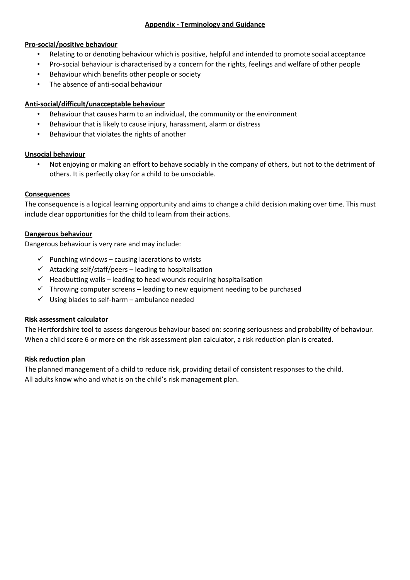#### **Pro-social/positive behaviour**

- Relating to or denoting behaviour which is positive, helpful and intended to promote social acceptance
- Pro-social behaviour is characterised by a concern for the rights, feelings and welfare of other people
- Behaviour which benefits other people or society
- The absence of anti-social behaviour

#### **Anti-social/difficult/unacceptable behaviour**

- Behaviour that causes harm to an individual, the community or the environment
- Behaviour that is likely to cause injury, harassment, alarm or distress
- Behaviour that violates the rights of another

#### **Unsocial behaviour**

• Not enjoying or making an effort to behave sociably in the company of others, but not to the detriment of others. It is perfectly okay for a child to be unsociable.

#### **Consequences**

The consequence is a logical learning opportunity and aims to change a child decision making over time. This must include clear opportunities for the child to learn from their actions.

#### **Dangerous behaviour**

Dangerous behaviour is very rare and may include:

- $\checkmark$  Punching windows causing lacerations to wrists
- $\checkmark$  Attacking self/staff/peers leading to hospitalisation
- $\checkmark$  Headbutting walls leading to head wounds requiring hospitalisation
- $\checkmark$  Throwing computer screens leading to new equipment needing to be purchased
- $\checkmark$  Using blades to self-harm ambulance needed

#### **Risk assessment calculator**

The Hertfordshire tool to assess dangerous behaviour based on: scoring seriousness and probability of behaviour. When a child score 6 or more on the risk assessment plan calculator, a risk reduction plan is created.

#### **Risk reduction plan**

The planned management of a child to reduce risk, providing detail of consistent responses to the child. All adults know who and what is on the child's risk management plan.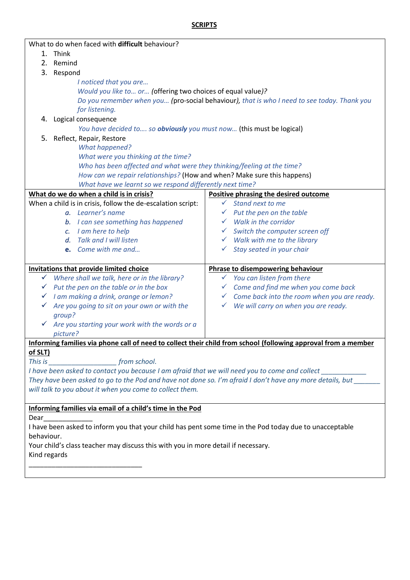# **SCRIPTS**

| What to do when faced with difficult behaviour?                                                                 |                                                          |
|-----------------------------------------------------------------------------------------------------------------|----------------------------------------------------------|
| 1. Think                                                                                                        |                                                          |
| Remind<br>2.                                                                                                    |                                                          |
| 3.<br>Respond                                                                                                   |                                                          |
| I noticed that you are                                                                                          |                                                          |
| Would you like to or (offering two choices of equal value)?                                                     |                                                          |
| Do you remember when you (pro-social behaviour), that is who I need to see today. Thank you                     |                                                          |
| for listening.                                                                                                  |                                                          |
| 4. Logical consequence                                                                                          |                                                          |
| You have decided to so obviously you must now (this must be logical)                                            |                                                          |
| 5.<br>Reflect, Repair, Restore                                                                                  |                                                          |
| <b>What happened?</b>                                                                                           |                                                          |
| What were you thinking at the time?                                                                             |                                                          |
| Who has been affected and what were they thinking/feeling at the time?                                          |                                                          |
| How can we repair relationships? (How and when? Make sure this happens)                                         |                                                          |
| What have we learnt so we respond differently next time?                                                        |                                                          |
| What do we do when a child is in crisis?                                                                        | Positive phrasing the desired outcome                    |
| When a child is in crisis, follow the de-escalation script:                                                     | Stand next to me<br>$\checkmark$                         |
| a. Learner's name                                                                                               | $\checkmark$ Put the pen on the table                    |
| b. I can see something has happened                                                                             | $\checkmark$ Walk in the corridor                        |
| c. I am here to help                                                                                            | Switch the computer screen off                           |
| Talk and I will listen<br>$d_{\cdot}$                                                                           | $\checkmark$ Walk with me to the library                 |
| e. Come with me and                                                                                             | Stay seated in your chair<br>✓                           |
|                                                                                                                 |                                                          |
| <b>Invitations that provide limited choice</b>                                                                  | Phrase to disempowering behaviour                        |
| Where shall we talk, here or in the library?<br>✓                                                               | You can listen from there<br>$\checkmark$                |
| $\checkmark$ Put the pen on the table or in the box                                                             | $\checkmark$ Come and find me when you come back         |
| I am making a drink, orange or lemon?<br>✓                                                                      | $\checkmark$ Come back into the room when you are ready. |
| Are you going to sit on your own or with the<br>✓                                                               | We will carry on when you are ready.<br>$\checkmark$     |
| group?                                                                                                          |                                                          |
| Are you starting your work with the words or a                                                                  |                                                          |
| picture?                                                                                                        |                                                          |
| Informing families via phone call of need to collect their child from school (following approval from a member  |                                                          |
| of SLT)                                                                                                         |                                                          |
|                                                                                                                 |                                                          |
| I have been asked to contact you because I am afraid that we will need you to come and collect _____________    |                                                          |
| They have been asked to go to the Pod and have not done so. I'm afraid I don't have any more details, but       |                                                          |
| will talk to you about it when you come to collect them.                                                        |                                                          |
|                                                                                                                 |                                                          |
| Informing families via email of a child's time in the Pod                                                       |                                                          |
| Dear<br>I have been asked to inform you that your child has pent some time in the Pod today due to unacceptable |                                                          |
| behaviour.                                                                                                      |                                                          |
| Your child's class teacher may discuss this with you in more detail if necessary.                               |                                                          |
| Kind regards                                                                                                    |                                                          |
|                                                                                                                 |                                                          |
|                                                                                                                 |                                                          |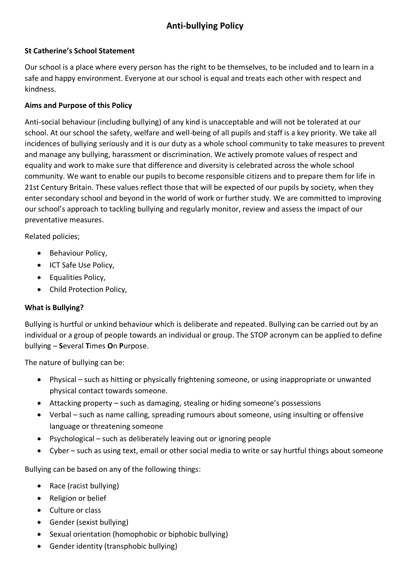# **Anti-bullying Policy**

### **St Catherine's School Statement**

Our school is a place where every person has the right to be themselves, to be included and to learn in a safe and happy environment. Everyone at our school is equal and treats each other with respect and kindness.

# **Aims and Purpose of this Policy**

Anti-social behaviour (including bullying) of any kind is unacceptable and will not be tolerated at our school. At our school the safety, welfare and well-being of all pupils and staff is a key priority. We take all incidences of bullying seriously and it is our duty as a whole school community to take measures to prevent and manage any bullying, harassment or discrimination. We actively promote values of respect and equality and work to make sure that difference and diversity is celebrated across the whole school community. We want to enable our pupils to become responsible citizens and to prepare them for life in 21st Century Britain. These values reflect those that will be expected of our pupils by society, when they enter secondary school and beyond in the world of work or further study. We are committed to improving our school's approach to tackling bullying and regularly monitor, review and assess the impact of our preventative measures.

Related policies;

- Behaviour Policy,
- ICT Safe Use Policy,
- Equalities Policy,
- Child Protection Policy,

# **What is Bullying?**

Bullying is hurtful or unkind behaviour which is deliberate and repeated. Bullying can be carried out by an individual or a group of people towards an individual or group. The STOP acronym can be applied to define bullying – **S**everal **T**imes **O**n **P**urpose.

The nature of bullying can be:

- Physical such as hitting or physically frightening someone, or using inappropriate or unwanted physical contact towards someone.
- Attacking property such as damaging, stealing or hiding someone's possessions
- Verbal such as name calling, spreading rumours about someone, using insulting or offensive language or threatening someone
- Psychological such as deliberately leaving out or ignoring people
- Cyber such as using text, email or other social media to write or say hurtful things about someone

Bullying can be based on any of the following things:

- Race (racist bullying)
- Religion or belief
- Culture or class
- Gender (sexist bullying)
- Sexual orientation (homophobic or biphobic bullying)
- Gender identity (transphobic bullying)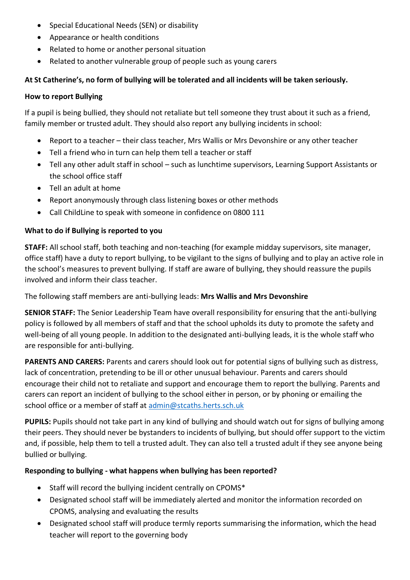- Special Educational Needs (SEN) or disability
- Appearance or health conditions
- Related to home or another personal situation
- Related to another vulnerable group of people such as young carers

# **At St Catherine's, no form of bullying will be tolerated and all incidents will be taken seriously.**

# **How to report Bullying**

If a pupil is being bullied, they should not retaliate but tell someone they trust about it such as a friend, family member or trusted adult. They should also report any bullying incidents in school:

- Report to a teacher their class teacher, Mrs Wallis or Mrs Devonshire or any other teacher
- Tell a friend who in turn can help them tell a teacher or staff
- Tell any other adult staff in school such as lunchtime supervisors, Learning Support Assistants or the school office staff
- Tell an adult at home
- Report anonymously through class listening boxes or other methods
- Call ChildLine to speak with someone in confidence on 0800 111

# **What to do if Bullying is reported to you**

**STAFF:** All school staff, both teaching and non-teaching (for example midday supervisors, site manager, office staff) have a duty to report bullying, to be vigilant to the signs of bullying and to play an active role in the school's measures to prevent bullying. If staff are aware of bullying, they should reassure the pupils involved and inform their class teacher.

The following staff members are anti-bullying leads: **Mrs Wallis and Mrs Devonshire**

**SENIOR STAFF:** The Senior Leadership Team have overall responsibility for ensuring that the anti-bullying policy is followed by all members of staff and that the school upholds its duty to promote the safety and well-being of all young people. In addition to the designated anti-bullying leads, it is the whole staff who are responsible for anti-bullying.

**PARENTS AND CARERS:** Parents and carers should look out for potential signs of bullying such as distress, lack of concentration, pretending to be ill or other unusual behaviour. Parents and carers should encourage their child not to retaliate and support and encourage them to report the bullying. Parents and carers can report an incident of bullying to the school either in person, or by phoning or emailing the school office or a member of staff at [admin@stcaths.herts.sch.uk](mailto:admin@stcaths.herts.sch.uk)

**PUPILS:** Pupils should not take part in any kind of bullying and should watch out for signs of bullying among their peers. They should never be bystanders to incidents of bullying, but should offer support to the victim and, if possible, help them to tell a trusted adult. They can also tell a trusted adult if they see anyone being bullied or bullying.

# **Responding to bullying - what happens when bullying has been reported?**

- Staff will record the bullying incident centrally on CPOMS\*
- Designated school staff will be immediately alerted and monitor the information recorded on CPOMS, analysing and evaluating the results
- Designated school staff will produce termly reports summarising the information, which the head teacher will report to the governing body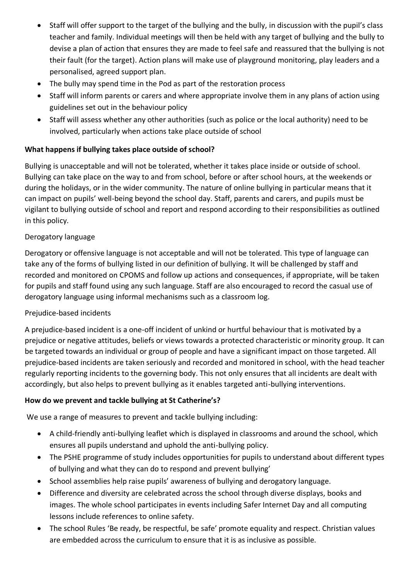- Staff will offer support to the target of the bullying and the bully, in discussion with the pupil's class teacher and family. Individual meetings will then be held with any target of bullying and the bully to devise a plan of action that ensures they are made to feel safe and reassured that the bullying is not their fault (for the target). Action plans will make use of playground monitoring, play leaders and a personalised, agreed support plan.
- The bully may spend time in the Pod as part of the restoration process
- Staff will inform parents or carers and where appropriate involve them in any plans of action using guidelines set out in the behaviour policy
- Staff will assess whether any other authorities (such as police or the local authority) need to be involved, particularly when actions take place outside of school

# **What happens if bullying takes place outside of school?**

Bullying is unacceptable and will not be tolerated, whether it takes place inside or outside of school. Bullying can take place on the way to and from school, before or after school hours, at the weekends or during the holidays, or in the wider community. The nature of online bullying in particular means that it can impact on pupils' well-being beyond the school day. Staff, parents and carers, and pupils must be vigilant to bullying outside of school and report and respond according to their responsibilities as outlined in this policy.

# Derogatory language

Derogatory or offensive language is not acceptable and will not be tolerated. This type of language can take any of the forms of bullying listed in our definition of bullying. It will be challenged by staff and recorded and monitored on CPOMS and follow up actions and consequences, if appropriate, will be taken for pupils and staff found using any such language. Staff are also encouraged to record the casual use of derogatory language using informal mechanisms such as a classroom log.

# Prejudice-based incidents

A prejudice-based incident is a one-off incident of unkind or hurtful behaviour that is motivated by a prejudice or negative attitudes, beliefs or views towards a protected characteristic or minority group. It can be targeted towards an individual or group of people and have a significant impact on those targeted. All prejudice-based incidents are taken seriously and recorded and monitored in school, with the head teacher regularly reporting incidents to the governing body. This not only ensures that all incidents are dealt with accordingly, but also helps to prevent bullying as it enables targeted anti-bullying interventions.

# **How do we prevent and tackle bullying at St Catherine's?**

We use a range of measures to prevent and tackle bullying including:

- A child-friendly anti-bullying leaflet which is displayed in classrooms and around the school, which ensures all pupils understand and uphold the anti-bullying policy.
- The PSHE programme of study includes opportunities for pupils to understand about different types of bullying and what they can do to respond and prevent bullying'
- School assemblies help raise pupils' awareness of bullying and derogatory language.
- Difference and diversity are celebrated across the school through diverse displays, books and images. The whole school participates in events including Safer Internet Day and all computing lessons include references to online safety.
- The school Rules 'Be ready, be respectful, be safe' promote equality and respect. Christian values are embedded across the curriculum to ensure that it is as inclusive as possible.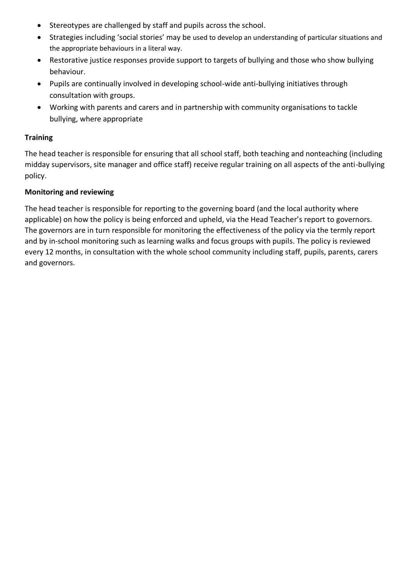- Stereotypes are challenged by staff and pupils across the school.
- Strategies including 'social stories' may be used to develop an understanding of particular situations and the appropriate behaviours in a literal way.
- Restorative justice responses provide support to targets of bullying and those who show bullying behaviour.
- Pupils are continually involved in developing school-wide anti-bullying initiatives through consultation with groups.
- Working with parents and carers and in partnership with community organisations to tackle bullying, where appropriate

#### **Training**

The head teacher is responsible for ensuring that all school staff, both teaching and nonteaching (including midday supervisors, site manager and office staff) receive regular training on all aspects of the anti-bullying policy.

#### **Monitoring and reviewing**

The head teacher is responsible for reporting to the governing board (and the local authority where applicable) on how the policy is being enforced and upheld, via the Head Teacher's report to governors. The governors are in turn responsible for monitoring the effectiveness of the policy via the termly report and by in-school monitoring such as learning walks and focus groups with pupils. The policy is reviewed every 12 months, in consultation with the whole school community including staff, pupils, parents, carers and governors.